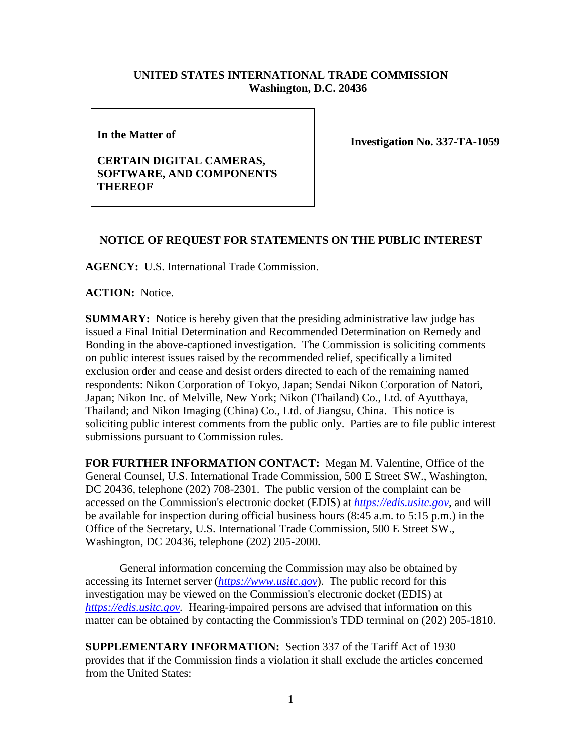## **UNITED STATES INTERNATIONAL TRADE COMMISSION Washington, D.C. 20436**

**In the Matter of** 

## **CERTAIN DIGITAL CAMERAS, SOFTWARE, AND COMPONENTS THEREOF**

**Investigation No. 337-TA-1059**

## **NOTICE OF REQUEST FOR STATEMENTS ON THE PUBLIC INTEREST**

**AGENCY:** U.S. International Trade Commission.

**ACTION:** Notice.

**SUMMARY:** Notice is hereby given that the presiding administrative law judge has issued a Final Initial Determination and Recommended Determination on Remedy and Bonding in the above-captioned investigation. The Commission is soliciting comments on public interest issues raised by the recommended relief, specifically a limited exclusion order and cease and desist orders directed to each of the remaining named respondents: Nikon Corporation of Tokyo, Japan; Sendai Nikon Corporation of Natori, Japan; Nikon Inc. of Melville, New York; Nikon (Thailand) Co., Ltd. of Ayutthaya, Thailand; and Nikon Imaging (China) Co., Ltd. of Jiangsu, China. This notice is soliciting public interest comments from the public only. Parties are to file public interest submissions pursuant to Commission rules.

**FOR FURTHER INFORMATION CONTACT:** Megan M. Valentine, Office of the General Counsel, U.S. International Trade Commission, 500 E Street SW., Washington, DC 20436, telephone (202) 708-2301. The public version of the complaint can be accessed on the Commission's electronic docket (EDIS) at *[https://edis.usitc.gov](https://edis.usitc.gov/)*, and will be available for inspection during official business hours (8:45 a.m. to 5:15 p.m.) in the Office of the Secretary, U.S. International Trade Commission, 500 E Street SW., Washington, DC 20436, telephone (202) 205-2000.

General information concerning the Commission may also be obtained by accessing its Internet server (*[https://www.usitc.gov](https://www.usitc.gov/)*). The public record for this investigation may be viewed on the Commission's electronic docket (EDIS) at *[https://edis.usitc.gov.](https://edis.usitc.gov/)* Hearing-impaired persons are advised that information on this matter can be obtained by contacting the Commission's TDD terminal on (202) 205-1810.

**SUPPLEMENTARY INFORMATION:** Section 337 of the Tariff Act of 1930 provides that if the Commission finds a violation it shall exclude the articles concerned from the United States: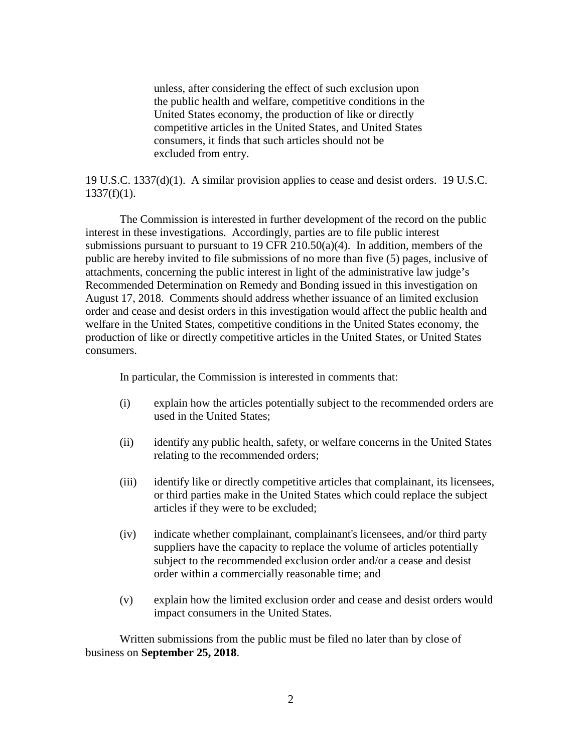unless, after considering the effect of such exclusion upon the public health and welfare, competitive conditions in the United States economy, the production of like or directly competitive articles in the United States, and United States consumers, it finds that such articles should not be excluded from entry.

19 U.S.C. 1337(d)(1). A similar provision applies to cease and desist orders. 19 U.S.C.  $1337(f)(1)$ .

The Commission is interested in further development of the record on the public interest in these investigations. Accordingly, parties are to file public interest submissions pursuant to pursuant to 19 CFR 210.50(a)(4). In addition, members of the public are hereby invited to file submissions of no more than five (5) pages, inclusive of attachments, concerning the public interest in light of the administrative law judge's Recommended Determination on Remedy and Bonding issued in this investigation on August 17, 2018. Comments should address whether issuance of an limited exclusion order and cease and desist orders in this investigation would affect the public health and welfare in the United States, competitive conditions in the United States economy, the production of like or directly competitive articles in the United States, or United States consumers.

In particular, the Commission is interested in comments that:

- (i) explain how the articles potentially subject to the recommended orders are used in the United States;
- (ii) identify any public health, safety, or welfare concerns in the United States relating to the recommended orders;
- (iii) identify like or directly competitive articles that complainant, its licensees, or third parties make in the United States which could replace the subject articles if they were to be excluded;
- (iv) indicate whether complainant, complainant's licensees, and/or third party suppliers have the capacity to replace the volume of articles potentially subject to the recommended exclusion order and/or a cease and desist order within a commercially reasonable time; and
- (v) explain how the limited exclusion order and cease and desist orders would impact consumers in the United States.

Written submissions from the public must be filed no later than by close of business on **September 25, 2018**.